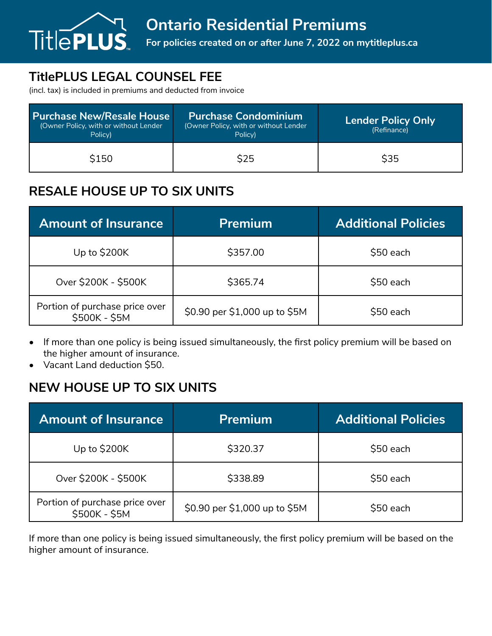

# **TitlePLUS LEGAL COUNSEL FEE**

(incl. tax) is included in premiums and deducted from invoice

| <b>Purchase New/Resale House</b><br>(Owner Policy, with or without Lender<br>Policy) | <b>Purchase Condominium</b><br>(Owner Policy, with or without Lender<br>Policy) | <b>Lender Policy Only</b><br>(Refinance) |
|--------------------------------------------------------------------------------------|---------------------------------------------------------------------------------|------------------------------------------|
| \$150                                                                                | <b>\$25</b>                                                                     | <b>\$35</b>                              |

### **RESALE HOUSE UP TO SIX UNITS**

| <b>Amount of Insurance</b>                      | <b>Premium</b>                | <b>Additional Policies</b> |
|-------------------------------------------------|-------------------------------|----------------------------|
| Up to \$200K                                    | \$357.00                      | \$50 each                  |
| Over \$200K - \$500K                            | \$365.74                      | \$50 each                  |
| Portion of purchase price over<br>\$500K - \$5M | \$0.90 per \$1,000 up to \$5M | \$50 each                  |

- If more than one policy is being issued simultaneously, the first policy premium will be based on the higher amount of insurance.
- Vacant Land deduction \$50.

## **NEW HOUSE UP TO SIX UNITS**

| <b>Amount of Insurance</b>                      | <b>Premium</b>                | <b>Additional Policies</b> |
|-------------------------------------------------|-------------------------------|----------------------------|
| Up to \$200K                                    | \$320.37                      | \$50 each                  |
| Over \$200K - \$500K                            | \$338.89                      | \$50 each                  |
| Portion of purchase price over<br>\$500K - \$5M | \$0.90 per \$1,000 up to \$5M | \$50 each                  |

If more than one policy is being issued simultaneously, the first policy premium will be based on the higher amount of insurance.